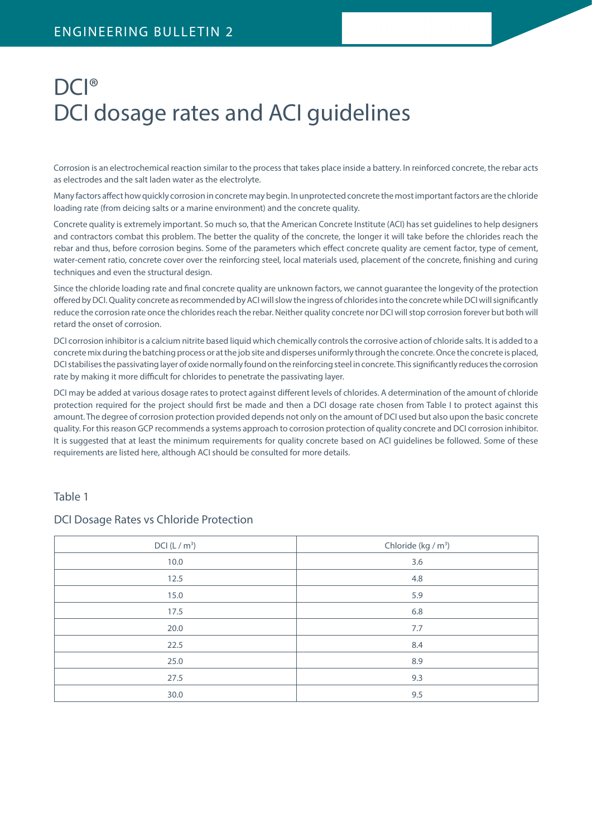# DCI® DCI dosage rates and ACI guidelines

Corrosion is an electrochemical reaction similar to the process that takes place inside a battery. In reinforced concrete, the rebar acts as electrodes and the salt laden water as the electrolyte.

Many factors affect how quickly corrosion in concrete may begin. In unprotected concrete the most important factors are the chloride loading rate (from deicing salts or a marine environment) and the concrete quality.

Concrete quality is extremely important. So much so, that the American Concrete Institute (ACI) has set guidelines to help designers and contractors combat this problem. The better the quality of the concrete, the longer it will take before the chlorides reach the rebar and thus, before corrosion begins. Some of the parameters which effect concrete quality are cement factor, type of cement, water-cement ratio, concrete cover over the reinforcing steel, local materials used, placement of the concrete, finishing and curing techniques and even the structural design.

Since the chloride loading rate and final concrete quality are unknown factors, we cannot guarantee the longevity of the protection offered by DCI. Quality concrete as recommended by ACI will slow the ingress of chlorides into the concrete while DCI will significantly reduce the corrosion rate once the chlorides reach the rebar. Neither quality concrete nor DCI will stop corrosion forever but both will retard the onset of corrosion.

DCI corrosion inhibitor is a calcium nitrite based liquid which chemically controls the corrosive action of chloride salts. It is added to a concrete mix during the batching process or at the job site and disperses uniformly through the concrete. Once the concrete is placed, DCI stabilises the passivating layer of oxide normally found on the reinforcing steel in concrete. This significantly reduces the corrosion rate by making it more difficult for chlorides to penetrate the passivating layer.

DCI may be added at various dosage rates to protect against different levels of chlorides. A determination of the amount of chloride protection required for the project should first be made and then a DCI dosage rate chosen from Table I to protect against this amount. The degree of corrosion protection provided depends not only on the amount of DCI used but also upon the basic concrete quality. For this reason GCP recommends a systems approach to corrosion protection of quality concrete and DCI corrosion inhibitor. It is suggested that at least the minimum requirements for quality concrete based on ACI guidelines be followed. Some of these requirements are listed here, although ACI should be consulted for more details.

## Table 1

## DCI Dosage Rates vs Chloride Protection

| DCI (L/m <sup>3</sup> ) | Chloride (kg / m <sup>3</sup> ) |
|-------------------------|---------------------------------|
| 10.0                    | 3.6                             |
| 12.5                    | 4.8                             |
| 15.0                    | 5.9                             |
| 17.5                    | 6.8                             |
| 20.0                    | 7.7                             |
| 22.5                    | 8.4                             |
| 25.0                    | 8.9                             |
| 27.5                    | 9.3                             |
| 30.0                    | 9.5                             |